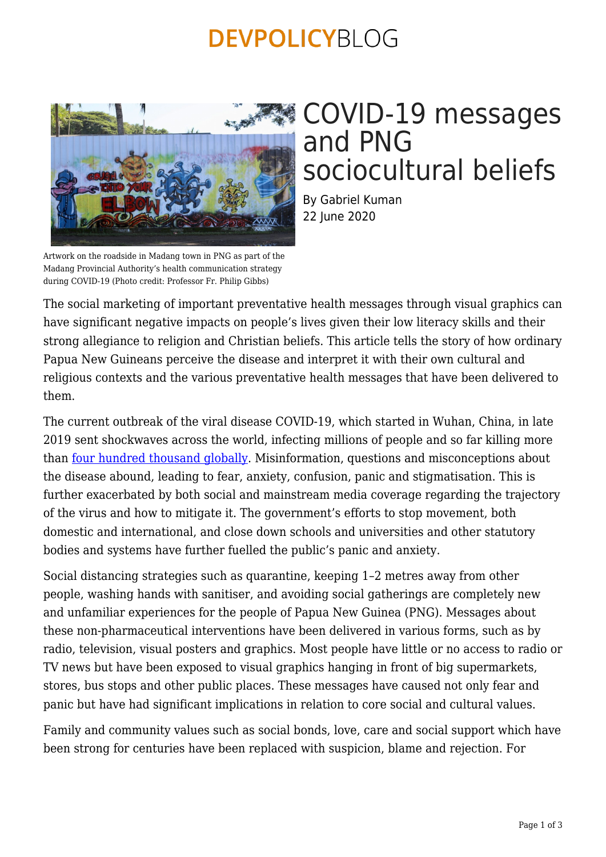## **DEVPOLICYBLOG**



### sociocultural beliefs By Gabriel Kuman 22 June 2020

and PNG

COVID-19 messages

Artwork on the roadside in Madang town in PNG as part of the Madang Provincial Authority's health communication strategy during COVID-19 (Photo credit: Professor Fr. Philip Gibbs)

The social marketing of important preventative health messages through visual graphics can have significant negative impacts on people's lives given their low literacy skills and their strong allegiance to religion and Christian beliefs. This article tells the story of how ordinary Papua New Guineans perceive the disease and interpret it with their own cultural and religious contexts and the various preventative health messages that have been delivered to them.

The current outbreak of the viral disease COVID-19, which started in Wuhan, China, in late 2019 sent shockwaves across the world, infecting millions of people and so far killing more than [four hundred thousand globally.](https://coronavirus.jhu.edu/) Misinformation, questions and misconceptions about the disease abound, leading to fear, anxiety, confusion, panic and stigmatisation. This is further exacerbated by both social and mainstream media coverage regarding the trajectory of the virus and how to mitigate it. The government's efforts to stop movement, both domestic and international, and close down schools and universities and other statutory bodies and systems have further fuelled the public's panic and anxiety.

Social distancing strategies such as quarantine, keeping 1–2 metres away from other people, washing hands with sanitiser, and avoiding social gatherings are completely new and unfamiliar experiences for the people of Papua New Guinea (PNG). Messages about these non-pharmaceutical interventions have been delivered in various forms, such as by radio, television, visual posters and graphics. Most people have little or no access to radio or TV news but have been exposed to visual graphics hanging in front of big supermarkets, stores, bus stops and other public places. These messages have caused not only fear and panic but have had significant implications in relation to core social and cultural values.

Family and community values such as social bonds, love, care and social support which have been strong for centuries have been replaced with suspicion, blame and rejection. For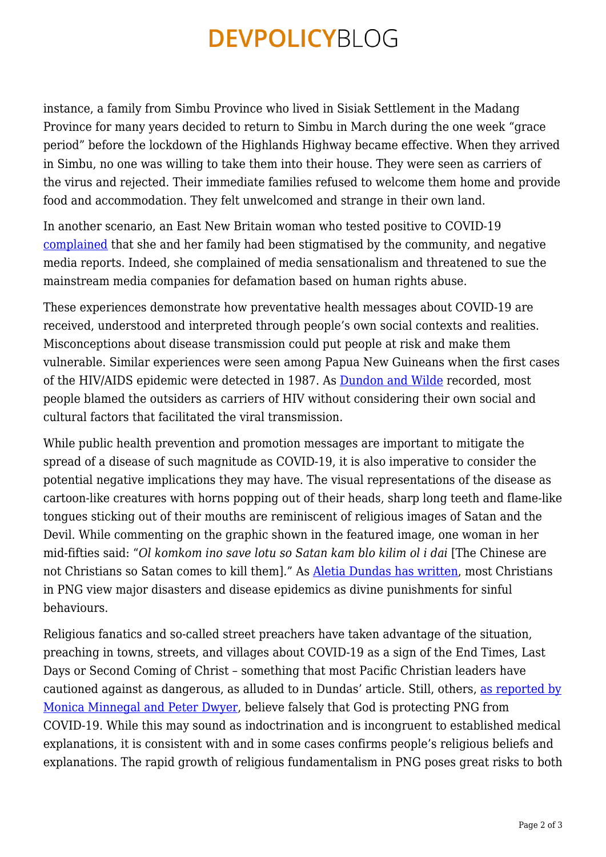# **DEVPOLICYBLOG**

instance, a family from Simbu Province who lived in Sisiak Settlement in the Madang Province for many years decided to return to Simbu in March during the one week "grace period" before the lockdown of the Highlands Highway became effective. When they arrived in Simbu, no one was willing to take them into their house. They were seen as carriers of the virus and rejected. Their immediate families refused to welcome them home and provide food and accommodation. They felt unwelcomed and strange in their own land.

In another scenario, an East New Britain woman who tested positive to COVID-19 [complained](https://www.thenational.com.pg/leave-my-family-out-i-will-deal-with-it/) that she and her family had been stigmatised by the community, and negative media reports. Indeed, she complained of media sensationalism and threatened to sue the mainstream media companies for defamation based on human rights abuse.

These experiences demonstrate how preventative health messages about COVID-19 are received, understood and interpreted through people's own social contexts and realities. Misconceptions about disease transmission could put people at risk and make them vulnerable. Similar experiences were seen among Papua New Guineans when the first cases of the HIV/AIDS epidemic were detected in 1987. As [Dundon and Wilde](https://onlinelibrary.wiley.com/doi/abs/10.1002/j.1834-4461.2007.tb00001.x) recorded, most people blamed the outsiders as carriers of HIV without considering their own social and cultural factors that facilitated the viral transmission.

While public health prevention and promotion messages are important to mitigate the spread of a disease of such magnitude as COVID-19, it is also imperative to consider the potential negative implications they may have. The visual representations of the disease as cartoon-like creatures with horns popping out of their heads, sharp long teeth and flame-like tongues sticking out of their mouths are reminiscent of religious images of Satan and the Devil. While commenting on the graphic shown in the featured image, one woman in her mid-fifties said: "*Ol komkom ino save lotu so Satan kam blo kilim ol i dai* [The Chinese are not Christians so Satan comes to kill them]." As [Aletia Dundas has written](https://devpolicy.org/faith-and-health-in-the-time-of-covid-19-20200512-2/), most Christians in PNG view major disasters and disease epidemics as divine punishments for sinful behaviours.

Religious fanatics and so-called street preachers have taken advantage of the situation, preaching in towns, streets, and villages about COVID-19 as a sign of the End Times, Last Days or Second Coming of Christ – something that most Pacific Christian leaders have cautioned against as dangerous, as alluded to in Dundas' article. Still, others, [as reported by](https://devpolicy.org/god-health-and-covid-19-in-remote-papua-new-guinea-20200416/) [Monica Minnegal and Peter Dwyer,](https://devpolicy.org/god-health-and-covid-19-in-remote-papua-new-guinea-20200416/) believe falsely that God is protecting PNG from COVID-19. While this may sound as indoctrination and is incongruent to established medical explanations, it is consistent with and in some cases confirms people's religious beliefs and explanations. The rapid growth of religious fundamentalism in PNG poses great risks to both